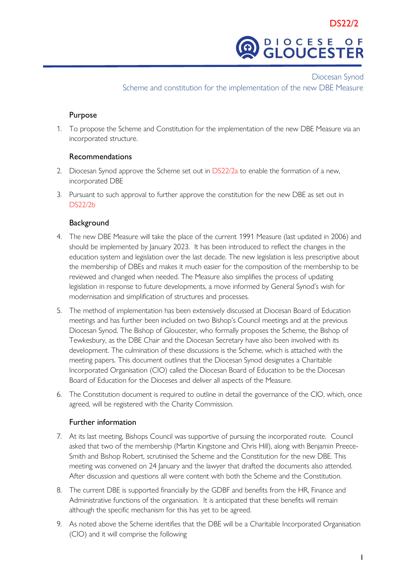

 Diocesan Synod Scheme and constitution for the implementation of the new DBE Measure

## Purpose

1. To propose the Scheme and Constitution for the implementation of the new DBE Measure via an incorporated structure.

## Recommendations

- 2. Diocesan Synod approve the Scheme set out in DS22/2a to enable the formation of a new, incorporated DBE
- 3. Pursuant to such approval to further approve the constitution for the new DBE as set out in DS22/2b

## **Background**

- 4. The new DBE Measure will take the place of the current 1991 Measure (last updated in 2006) and should be implemented by January 2023. It has been introduced to reflect the changes in the education system and legislation over the last decade. The new legislation is less prescriptive about the membership of DBEs and makes it much easier for the composition of the membership to be reviewed and changed when needed. The Measure also simplifies the process of updating legislation in response to future developments, a move informed by General Synod's wish for modernisation and simplification of structures and processes.
- 5. The method of implementation has been extensively discussed at Diocesan Board of Education meetings and has further been included on two Bishop's Council meetings and at the previous Diocesan Synod. The Bishop of Gloucester, who formally proposes the Scheme, the Bishop of Tewkesbury, as the DBE Chair and the Diocesan Secretary have also been involved with its development. The culmination of these discussions is the Scheme, which is attached with the meeting papers. This document outlines that the Diocesan Synod designates a Charitable Incorporated Organisation (CIO) called the Diocesan Board of Education to be the Diocesan Board of Education for the Dioceses and deliver all aspects of the Measure.
- 6. The Constitution document is required to outline in detail the governance of the CIO, which, once agreed, will be registered with the Charity Commission.

## Further information

- 7. At its last meeting, Bishops Council was supportive of pursuing the incorporated route. Council asked that two of the membership (Martin Kingstone and Chris Hill), along with Benjamin Preece-Smith and Bishop Robert, scrutinised the Scheme and the Constitution for the new DBE. This meeting was convened on 24 January and the lawyer that drafted the documents also attended. After discussion and questions all were content with both the Scheme and the Constitution.
- 8. The current DBE is supported financially by the GDBF and benefits from the HR, Finance and Administrative functions of the organisation. It is anticipated that these benefits will remain although the specific mechanism for this has yet to be agreed.
- 9. As noted above the Scheme identifies that the DBE will be a Charitable Incorporated Organisation (CIO) and it will comprise the following